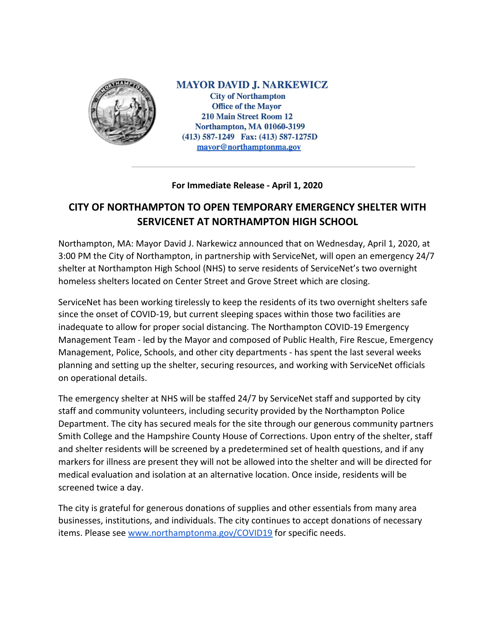

**MAYOR DAVID J. NARKEWICZ City of Northampton Office of the Mayor 210 Main Street Room 12 Northampton, MA 01060-3199**  $(413)$  587-1249 Fax:  $(413)$  587-1275D mayor@northamptonma.gov

## **For Immediate Release - April 1, 2020**

## **CITY OF NORTHAMPTON TO OPEN TEMPORARY EMERGENCY SHELTER WITH SERVICENET AT NORTHAMPTON HIGH SCHOOL**

Northampton, MA: Mayor David J. Narkewicz announced that on Wednesday, April 1, 2020, at 3:00 PM the City of Northampton, in partnership with ServiceNet, will open an emergency 24/7 shelter at Northampton High School (NHS) to serve residents of ServiceNet's two overnight homeless shelters located on Center Street and Grove Street which are closing.

ServiceNet has been working tirelessly to keep the residents of its two overnight shelters safe since the onset of COVID-19, but current sleeping spaces within those two facilities are inadequate to allow for proper social distancing. The Northampton COVID-19 Emergency Management Team - led by the Mayor and composed of Public Health, Fire Rescue, Emergency Management, Police, Schools, and other city departments - has spent the last several weeks planning and setting up the shelter, securing resources, and working with ServiceNet officials on operational details.

The emergency shelter at NHS will be staffed 24/7 by ServiceNet staff and supported by city staff and community volunteers, including security provided by the Northampton Police Department. The city has secured meals for the site through our generous community partners Smith College and the Hampshire County House of Corrections. Upon entry of the shelter, staff and shelter residents will be screened by a predetermined set of health questions, and if any markers for illness are present they will not be allowed into the shelter and will be directed for medical evaluation and isolation at an alternative location. Once inside, residents will be screened twice a day.

The city is grateful for generous donations of supplies and other essentials from many area businesses, institutions, and individuals. The city continues to accept donations of necessary items. Please see [www.northamptonma.gov/COVID19](http://www.northamptonma.gov/COVID19) for specific needs.